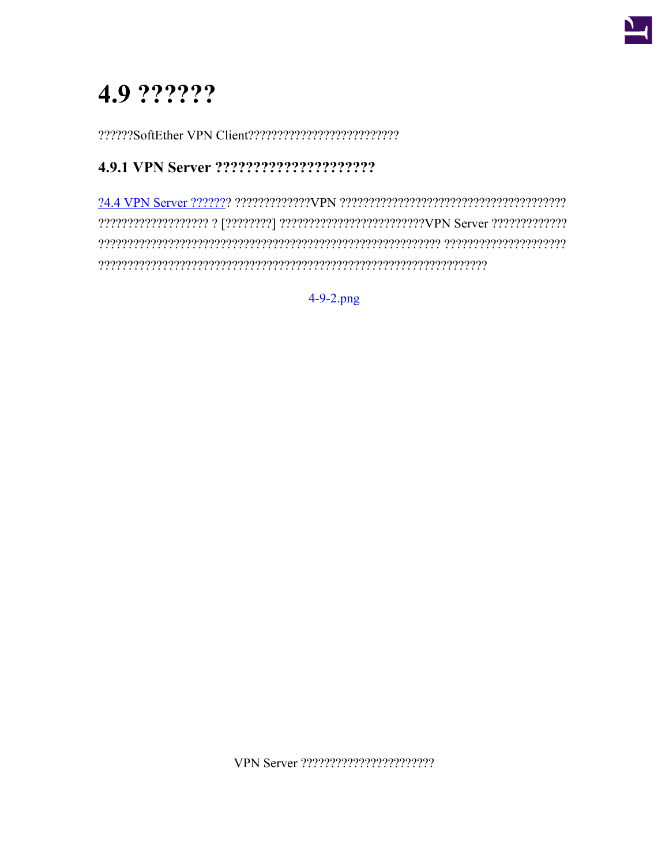

# 4.9 ??????

## 

 $4-9-2$ .png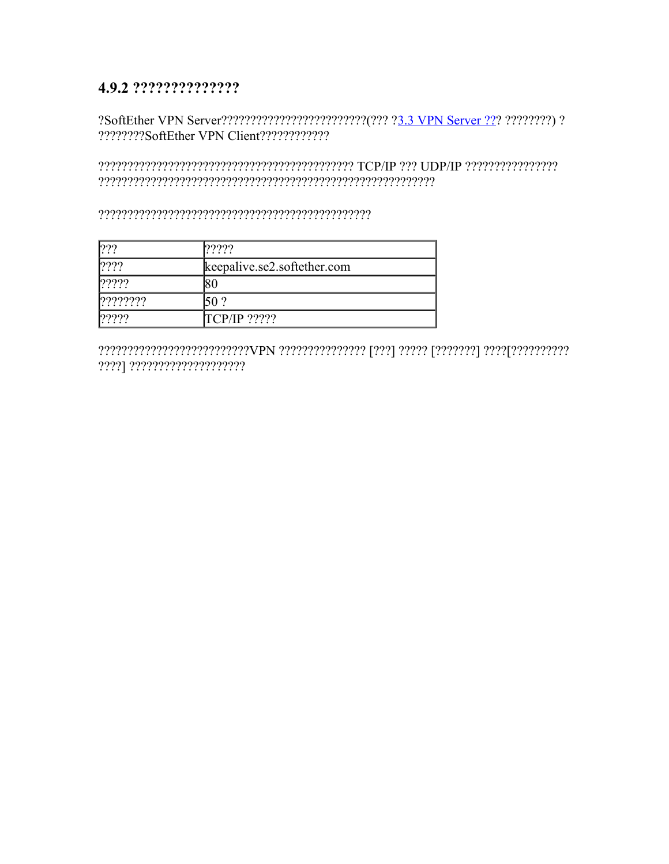### 4.9.2 ???????????????

#### 

#### 

| 222    | ?????                       |
|--------|-----------------------------|
| 2222   | keepalive.se2.softether.com |
| 22222  |                             |
| 222222 | 50 ?                        |
| 2222   | <b>TCP/IP</b> ?????         |

????] ????????????????????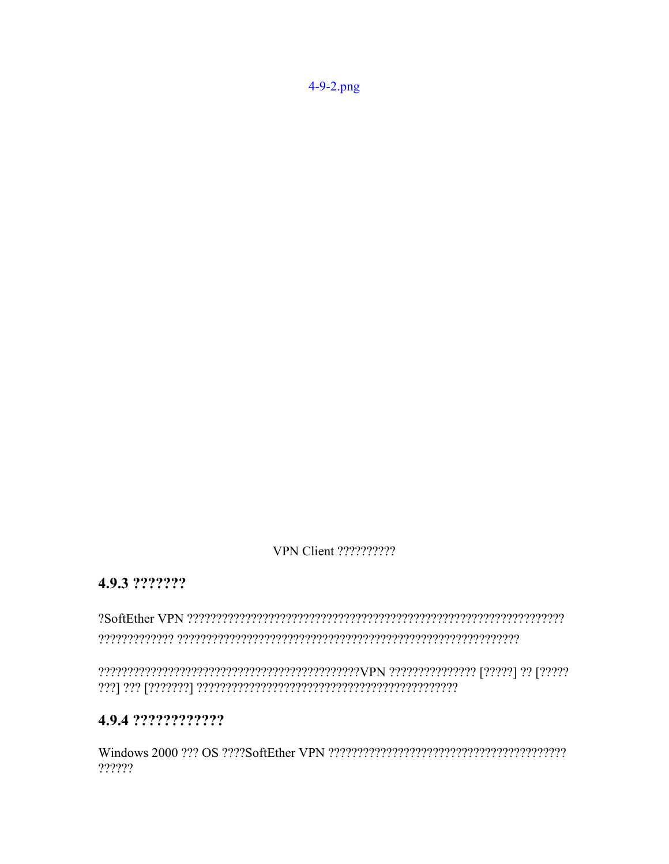VPN Client ??????????

## 4.9.3 ???????

## 4.9.4 ?????????????

??????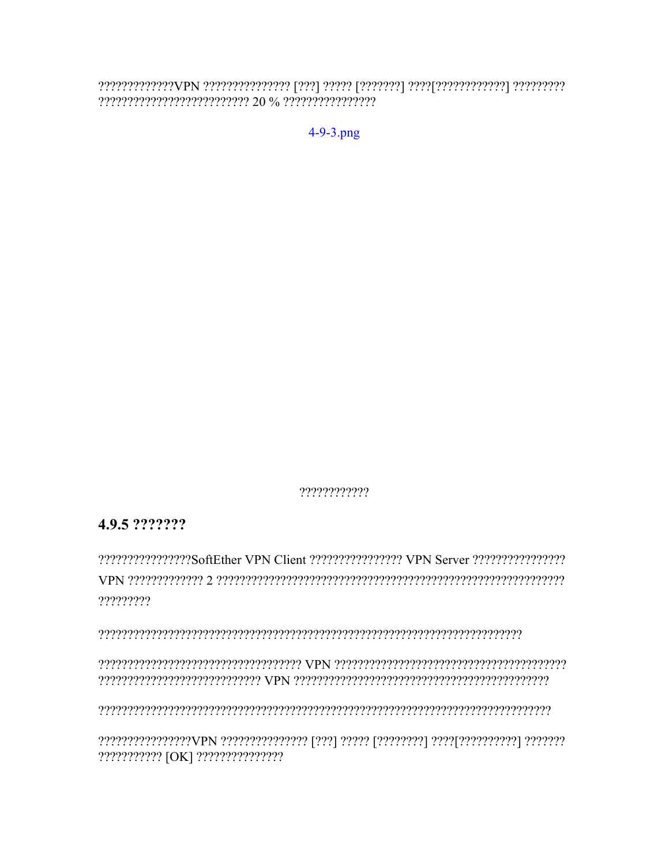$4 - 9 - 3$ .png

????????????

#### 4.9.5 ???????

wpN merchenenschen Schreichenen der Freienen der Steinen der Preisenen Schreichen der Wert ?????????

, energieren erkenen erkenen erkenen er en en en en en en en en en en en energinen en en en en en en en en en

??????????? [OK] ???????????????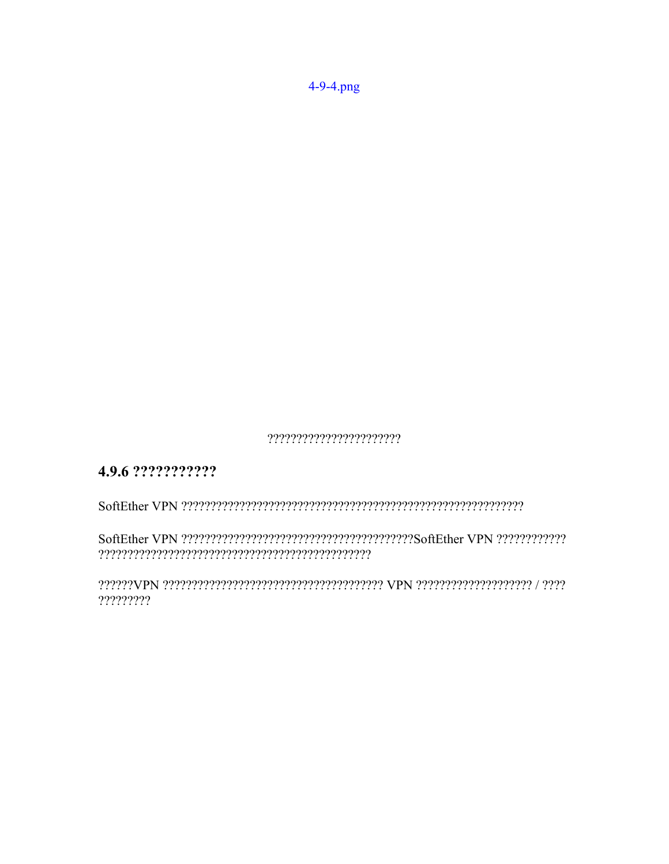4-9-4.png

????????????????????????

## 4.9.6 ????????????

?????????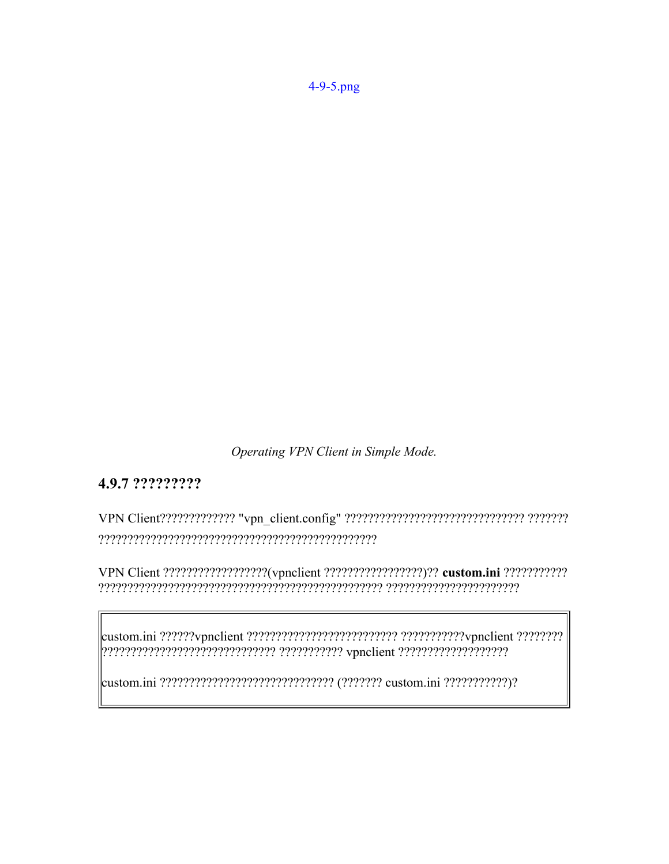Operating VPN Client in Simple Mode.

#### 4.9.7 ?????????

VPN Client ??????????????????(vpnclient ?????????????????)?? custom.ini ????????????